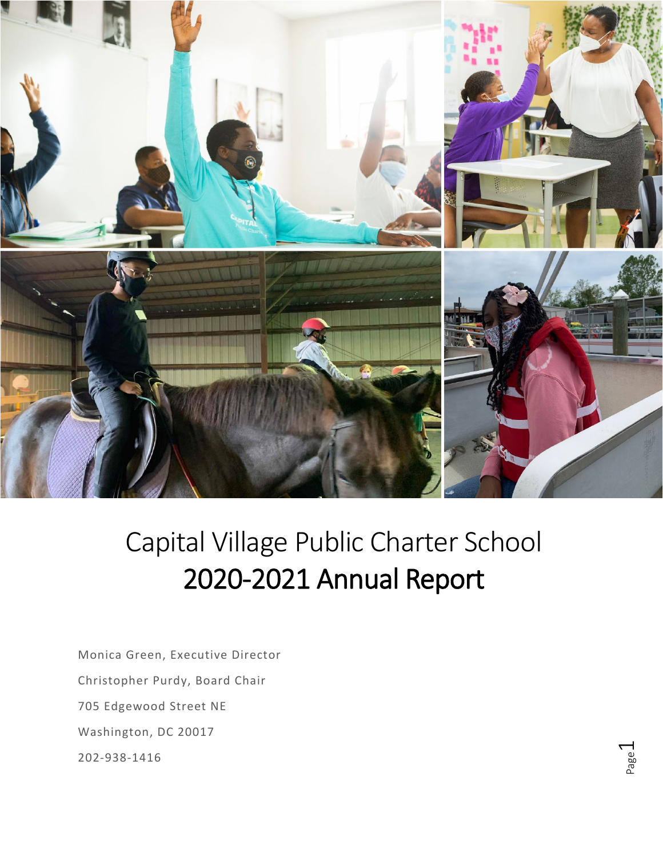

# Capital Village Public Charter School 2020-2021 Annual Report

Monica Green, Executive Director Christopher Purdy, Board Chair 705 Edgewood Street NE Washington, DC 20017 202-938-1416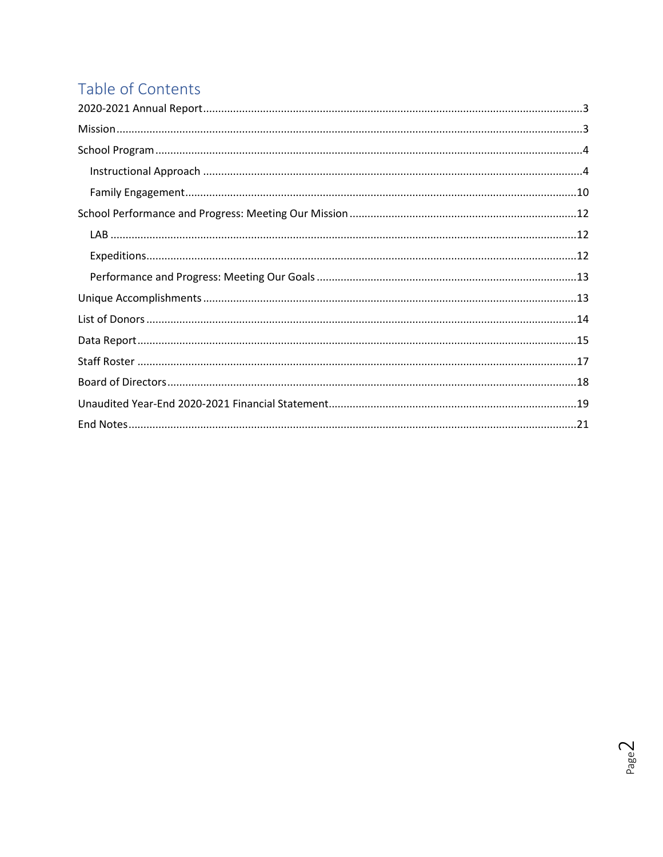# Table of Contents

 $PageQ$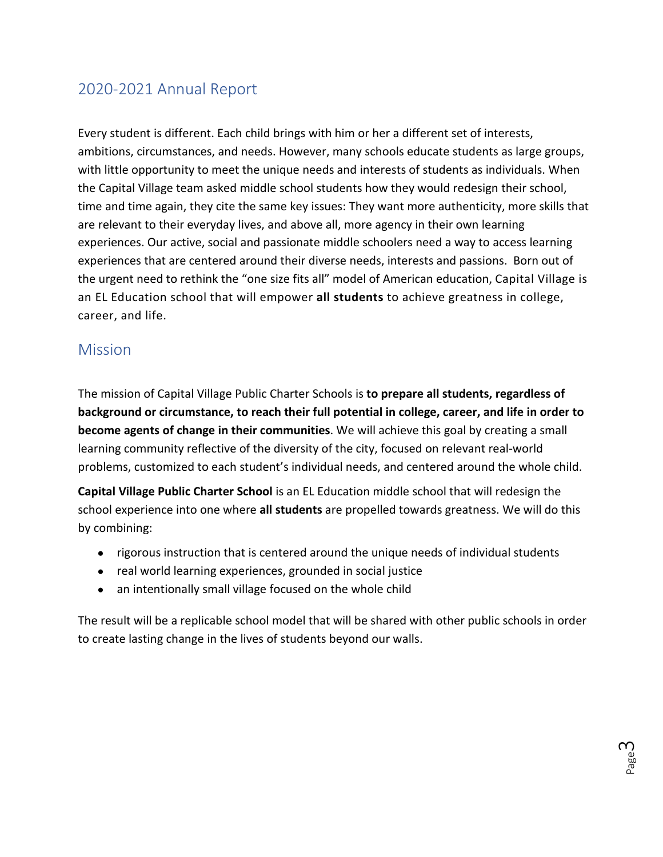### <span id="page-2-0"></span>2020-2021 Annual Report

Every student is different. Each child brings with him or her a different set of interests, ambitions, circumstances, and needs. However, many schools educate students as large groups, with little opportunity to meet the unique needs and interests of students as individuals. When the Capital Village team asked middle school students how they would redesign their school, time and time again, they cite the same key issues: They want more authenticity, more skills that are relevant to their everyday lives, and above all, more agency in their own learning experiences. Our active, social and passionate middle schoolers need a way to access learning experiences that are centered around their diverse needs, interests and passions. Born out of the urgent need to rethink the "one size fits all" model of American education, Capital Village is an EL Education school that will empower **all students** to achieve greatness in college, career, and life.

### <span id="page-2-1"></span>**Mission**

The mission of Capital Village Public Charter Schools is **to prepare all students, regardless of background or circumstance, to reach their full potential in college, career, and life in order to become agents of change in their communities**. We will achieve this goal by creating a small learning community reflective of the diversity of the city, focused on relevant real-world problems, customized to each student's individual needs, and centered around the whole child.

**Capital Village Public Charter School** is an EL Education middle school that will redesign the school experience into one where **all students** are propelled towards greatness. We will do this by combining:

- rigorous instruction that is centered around the unique needs of individual students
- real world learning experiences, grounded in social justice
- an intentionally small village focused on the whole child

The result will be a replicable school model that will be shared with other public schools in order to create lasting change in the lives of students beyond our walls.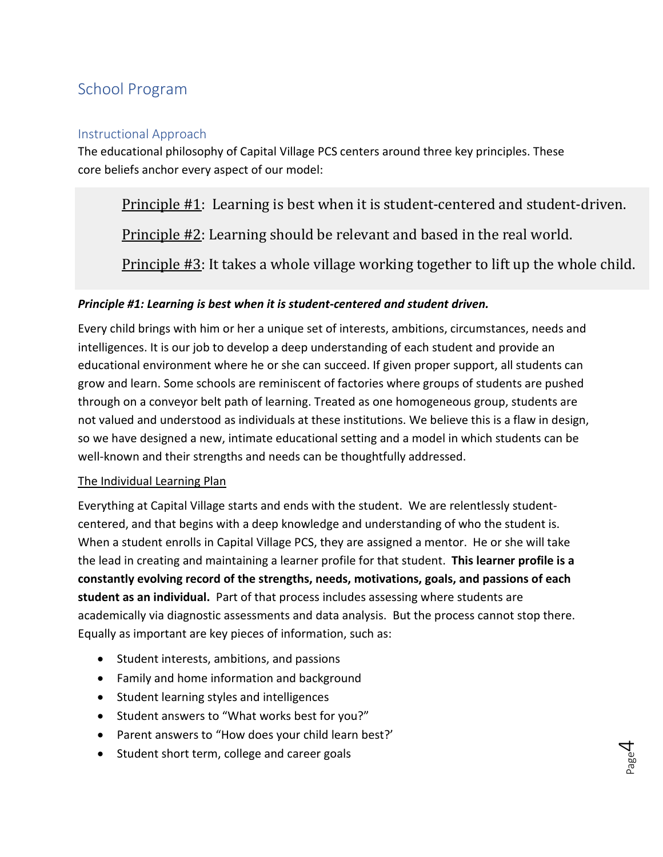### <span id="page-3-0"></span>School Program

#### <span id="page-3-1"></span>Instructional Approach

The educational philosophy of Capital Village PCS centers around three key principles. These core beliefs anchor every aspect of our model:

Principle #1: Learning is best when it is student-centered and student-driven.

Principle #2: Learning should be relevant and based in the real world.

Principle #3: It takes a whole village working together to lift up the whole child.

#### *Principle #1: Learning is best when it is student-centered and student driven.*

Every child brings with him or her a unique set of interests, ambitions, circumstances, needs and intelligences. It is our job to develop a deep understanding of each student and provide an educational environment where he or she can succeed. If given proper support, all students can grow and learn. Some schools are reminiscent of factories where groups of students are pushed through on a conveyor belt path of learning. Treated as one homogeneous group, students are not valued and understood as individuals at these institutions. We believe this is a flaw in design, so we have designed a new, intimate educational setting and a model in which students can be well-known and their strengths and needs can be thoughtfully addressed.

#### The Individual Learning Plan

Everything at Capital Village starts and ends with the student. We are relentlessly studentcentered, and that begins with a deep knowledge and understanding of who the student is. When a student enrolls in Capital Village PCS, they are assigned a mentor. He or she will take the lead in creating and maintaining a learner profile for that student. **This learner profile is a constantly evolving record of the strengths, needs, motivations, goals, and passions of each student as an individual.** Part of that process includes assessing where students are academically via diagnostic assessments and data analysis. But the process cannot stop there. Equally as important are key pieces of information, such as:

- Student interests, ambitions, and passions
- Family and home information and background
- Student learning styles and intelligences
- Student answers to "What works best for you?"
- Parent answers to "How does your child learn best?'
- Student short term, college and career goals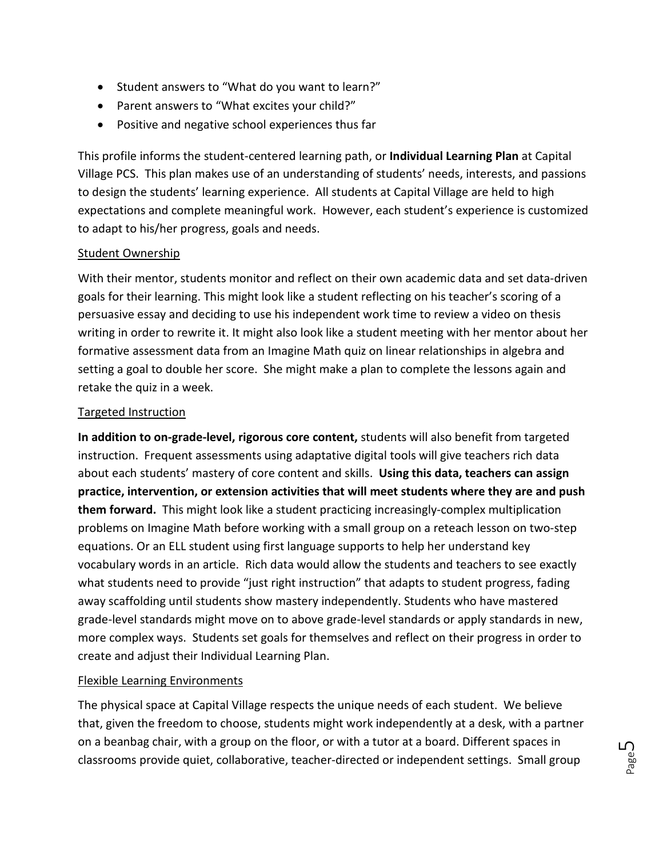- Student answers to "What do you want to learn?"
- Parent answers to "What excites your child?"
- Positive and negative school experiences thus far

This profile informs the student-centered learning path, or **Individual Learning Plan** at Capital Village PCS. This plan makes use of an understanding of students' needs, interests, and passions to design the students' learning experience. All students at Capital Village are held to high expectations and complete meaningful work. However, each student's experience is customized to adapt to his/her progress, goals and needs.

#### Student Ownership

With their mentor, students monitor and reflect on their own academic data and set data-driven goals for their learning. This might look like a student reflecting on his teacher's scoring of a persuasive essay and deciding to use his independent work time to review a video on thesis writing in order to rewrite it. It might also look like a student meeting with her mentor about her formative assessment data from an Imagine Math quiz on linear relationships in algebra and setting a goal to double her score. She might make a plan to complete the lessons again and retake the quiz in a week.

#### Targeted Instruction

**In addition to on-grade-level, rigorous core content,** students will also benefit from targeted instruction. Frequent assessments using adaptative digital tools will give teachers rich data about each students' mastery of core content and skills. **Using this data, teachers can assign practice, intervention, or extension activities that will meet students where they are and push them forward.** This might look like a student practicing increasingly-complex multiplication problems on Imagine Math before working with a small group on a reteach lesson on two-step equations. Or an ELL student using first language supports to help her understand key vocabulary words in an article. Rich data would allow the students and teachers to see exactly what students need to provide "just right instruction" that adapts to student progress, fading away scaffolding until students show mastery independently. Students who have mastered grade-level standards might move on to above grade-level standards or apply standards in new, more complex ways. Students set goals for themselves and reflect on their progress in order to create and adjust their Individual Learning Plan.

#### Flexible Learning Environments

The physical space at Capital Village respects the unique needs of each student. We believe that, given the freedom to choose, students might work independently at a desk, with a partner on a beanbag chair, with a group on the floor, or with a tutor at a board. Different spaces in classrooms provide quiet, collaborative, teacher-directed or independent settings. Small group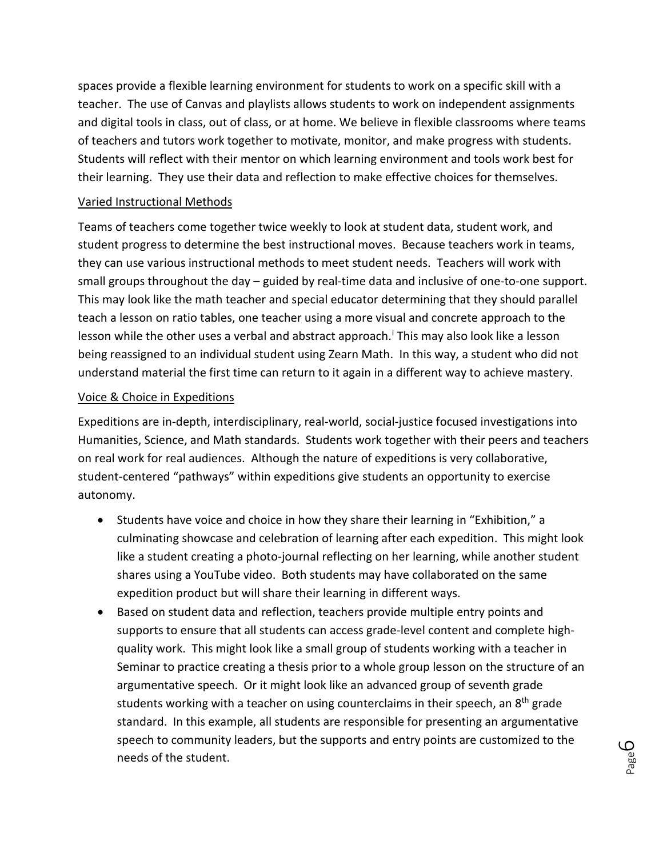spaces provide a flexible learning environment for students to work on a specific skill with a teacher. The use of Canvas and playlists allows students to work on independent assignments and digital tools in class, out of class, or at home. We believe in flexible classrooms where teams of teachers and tutors work together to motivate, monitor, and make progress with students. Students will reflect with their mentor on which learning environment and tools work best for their learning. They use their data and reflection to make effective choices for themselves.

#### Varied Instructional Methods

Teams of teachers come together twice weekly to look at student data, student work, and student progress to determine the best instructional moves. Because teachers work in teams, they can use various instructional methods to meet student needs. Teachers will work with small groups throughout the day – guided by real-time data and inclusive of one-to-one support. This may look like the math teacher and special educator determining that they should parallel teach a lesson on ratio tables, one teacher using a more visual and concrete approach to the lesson wh[i](#page-21-0)le the other uses a verbal and abstract approach.<sup>i</sup> This may also look like a lesson being reassigned to an individual student using Zearn Math. In this way, a student who did not understand material the first time can return to it again in a different way to achieve mastery.

#### Voice & Choice in Expeditions

Expeditions are in-depth, interdisciplinary, real-world, social-justice focused investigations into Humanities, Science, and Math standards. Students work together with their peers and teachers on real work for real audiences. Although the nature of expeditions is very collaborative, student-centered "pathways" within expeditions give students an opportunity to exercise autonomy.

- Students have voice and choice in how they share their learning in "Exhibition," a culminating showcase and celebration of learning after each expedition. This might look like a student creating a photo-journal reflecting on her learning, while another student shares using a YouTube video. Both students may have collaborated on the same expedition product but will share their learning in different ways.
- Based on student data and reflection, teachers provide multiple entry points and supports to ensure that all students can access grade-level content and complete highquality work. This might look like a small group of students working with a teacher in Seminar to practice creating a thesis prior to a whole group lesson on the structure of an argumentative speech. Or it might look like an advanced group of seventh grade students working with a teacher on using counterclaims in their speech, an 8<sup>th</sup> grade standard. In this example, all students are responsible for presenting an argumentative speech to community leaders, but the supports and entry points are customized to the needs of the student.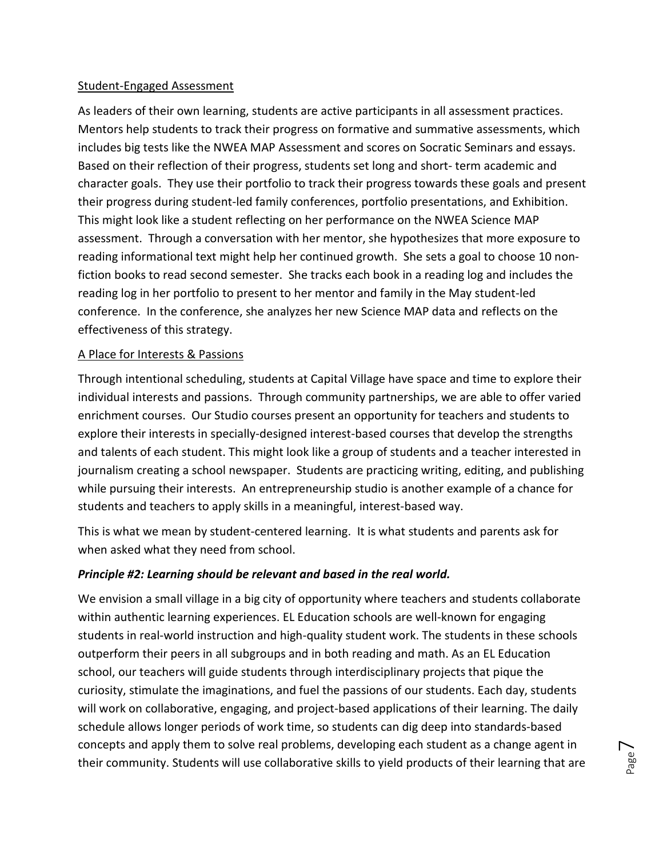#### Student-Engaged Assessment

As leaders of their own learning, students are active participants in all assessment practices. Mentors help students to track their progress on formative and summative assessments, which includes big tests like the NWEA MAP Assessment and scores on Socratic Seminars and essays. Based on their reflection of their progress, students set long and short- term academic and character goals. They use their portfolio to track their progress towards these goals and present their progress during student-led family conferences, portfolio presentations, and Exhibition. This might look like a student reflecting on her performance on the NWEA Science MAP assessment. Through a conversation with her mentor, she hypothesizes that more exposure to reading informational text might help her continued growth. She sets a goal to choose 10 nonfiction books to read second semester. She tracks each book in a reading log and includes the reading log in her portfolio to present to her mentor and family in the May student-led conference. In the conference, she analyzes her new Science MAP data and reflects on the effectiveness of this strategy.

#### A Place for Interests & Passions

Through intentional scheduling, students at Capital Village have space and time to explore their individual interests and passions. Through community partnerships, we are able to offer varied enrichment courses. Our Studio courses present an opportunity for teachers and students to explore their interests in specially-designed interest-based courses that develop the strengths and talents of each student. This might look like a group of students and a teacher interested in journalism creating a school newspaper. Students are practicing writing, editing, and publishing while pursuing their interests. An entrepreneurship studio is another example of a chance for students and teachers to apply skills in a meaningful, interest-based way.

This is what we mean by student-centered learning. It is what students and parents ask for when asked what they need from school.

#### *Principle #2: Learning should be relevant and based in the real world.*

We envision a small village in a big city of opportunity where teachers and students collaborate within authentic learning experiences. EL Education schools are well-known for engaging students in real-world instruction and high-quality student work. The students in these schools outperform their peers in all subgroups and in both reading and math. As an EL Education school, our teachers will guide students through interdisciplinary projects that pique the curiosity, stimulate the imaginations, and fuel the passions of our students. Each day, students will work on collaborative, engaging, and project-based applications of their learning. The daily schedule allows longer periods of work time, so students can dig deep into standards-based concepts and apply them to solve real problems, developing each student as a change agent in their community. Students will use collaborative skills to yield products of their learning that are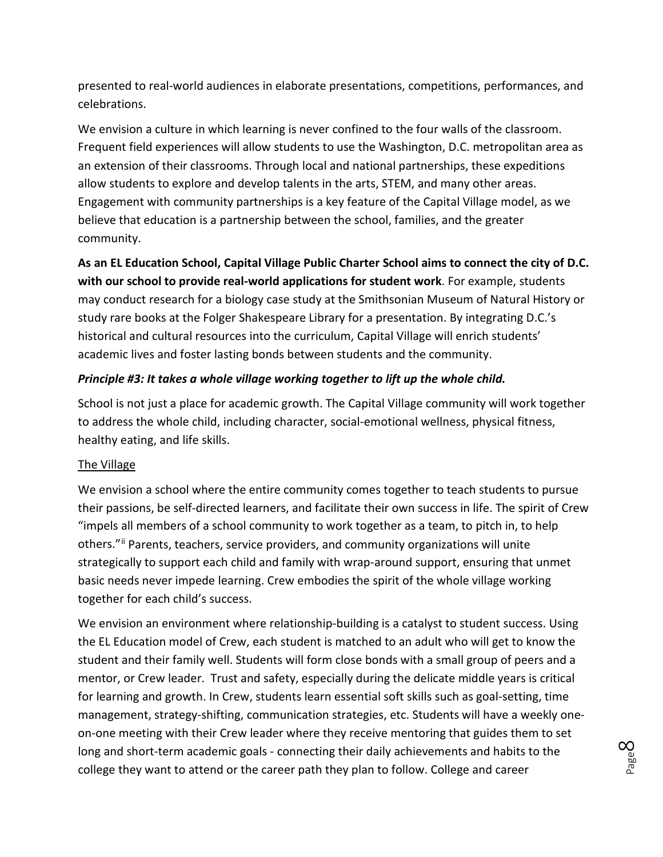presented to real-world audiences in elaborate presentations, competitions, performances, and celebrations.

We envision a culture in which learning is never confined to the four walls of the classroom. Frequent field experiences will allow students to use the Washington, D.C. metropolitan area as an extension of their classrooms. Through local and national partnerships, these expeditions allow students to explore and develop talents in the arts, STEM, and many other areas. Engagement with community partnerships is a key feature of the Capital Village model, as we believe that education is a partnership between the school, families, and the greater community.

**As an EL Education School, Capital Village Public Charter School aims to connect the city of D.C. with our school to provide real-world applications for student work**. For example, students may conduct research for a biology case study at the Smithsonian Museum of Natural History or study rare books at the Folger Shakespeare Library for a presentation. By integrating D.C.'s historical and cultural resources into the curriculum, Capital Village will enrich students' academic lives and foster lasting bonds between students and the community.

#### *Principle #3: It takes a whole village working together to lift up the whole child.*

School is not just a place for academic growth. The Capital Village community will work together to address the whole child, including character, social-emotional wellness, physical fitness, healthy eating, and life skills.

#### The Village

We envision a school where the entire community comes together to teach students to pursue their passions, be self-directed learners, and facilitate their own success in life. The spirit of Crew "impels all members of a school community to work together as a team, to pitch in, to help others."<sup>[ii](#page-21-1)</sup> Parents, teachers, service providers, and community organizations will unite strategically to support each child and family with wrap-around support, ensuring that unmet basic needs never impede learning. Crew embodies the spirit of the whole village working together for each child's success.

We envision an environment where relationship-building is a catalyst to student success. Using the EL Education model of Crew, each student is matched to an adult who will get to know the student and their family well. Students will form close bonds with a small group of peers and a mentor, or Crew leader. Trust and safety, especially during the delicate middle years is critical for learning and growth. In Crew, students learn essential soft skills such as goal-setting, time management, strategy-shifting, communication strategies, etc. Students will have a weekly oneon-one meeting with their Crew leader where they receive mentoring that guides them to set long and short-term academic goals - connecting their daily achievements and habits to the college they want to attend or the career path they plan to follow. College and career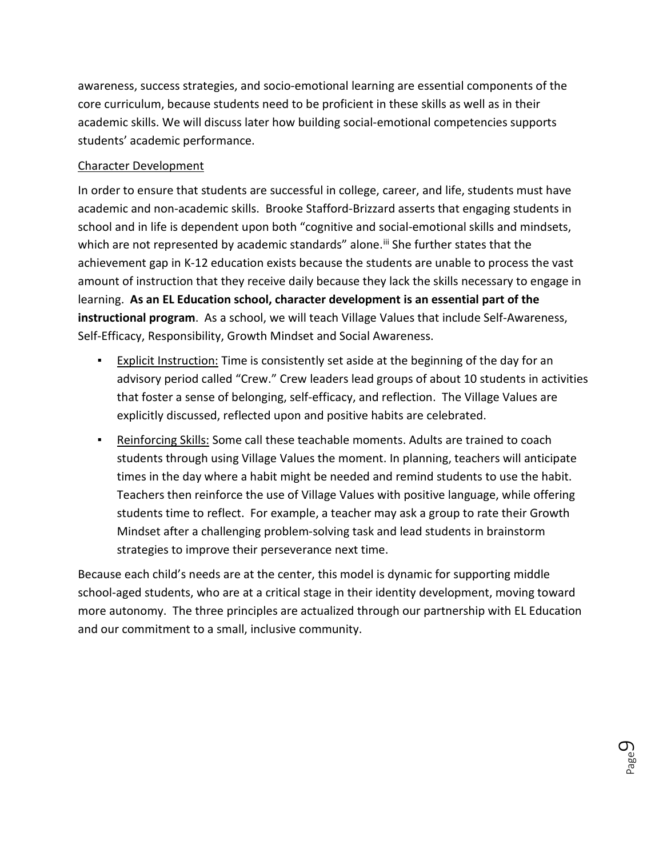awareness, success strategies, and socio-emotional learning are essential components of the core curriculum, because students need to be proficient in these skills as well as in their academic skills. We will discuss later how building social-emotional competencies supports students' academic performance.

#### Character Development

In order to ensure that students are successful in college, career, and life, students must have academic and non-academic skills. Brooke Stafford-Brizzard asserts that engaging students in school and in life is dependent upon both "cognitive and social-emotional skills and mindsets, which are not represented by academic standards" alone.<sup>[iii](#page-21-2)</sup> She further states that the achievement gap in K-12 education exists because the students are unable to process the vast amount of instruction that they receive daily because they lack the skills necessary to engage in learning. **As an EL Education school, character development is an essential part of the instructional program**. As a school, we will teach Village Values that include Self-Awareness, Self-Efficacy, Responsibility, Growth Mindset and Social Awareness.

- **Explicit Instruction:** Time is consistently set aside at the beginning of the day for an advisory period called "Crew." Crew leaders lead groups of about 10 students in activities that foster a sense of belonging, self-efficacy, and reflection. The Village Values are explicitly discussed, reflected upon and positive habits are celebrated.
- **EXECT ADDE THE SHIMS IS 2008 THE SET ADDE THE SHIMS IS 2018 THE SET ADDET** FORCH FORCH THE RETAINED TO COACH students through using Village Values the moment. In planning, teachers will anticipate times in the day where a habit might be needed and remind students to use the habit. Teachers then reinforce the use of Village Values with positive language, while offering students time to reflect. For example, a teacher may ask a group to rate their Growth Mindset after a challenging problem-solving task and lead students in brainstorm strategies to improve their perseverance next time.

Because each child's needs are at the center, this model is dynamic for supporting middle school-aged students, who are at a critical stage in their identity development, moving toward more autonomy. The three principles are actualized through our partnership with EL Education and our commitment to a small, inclusive community.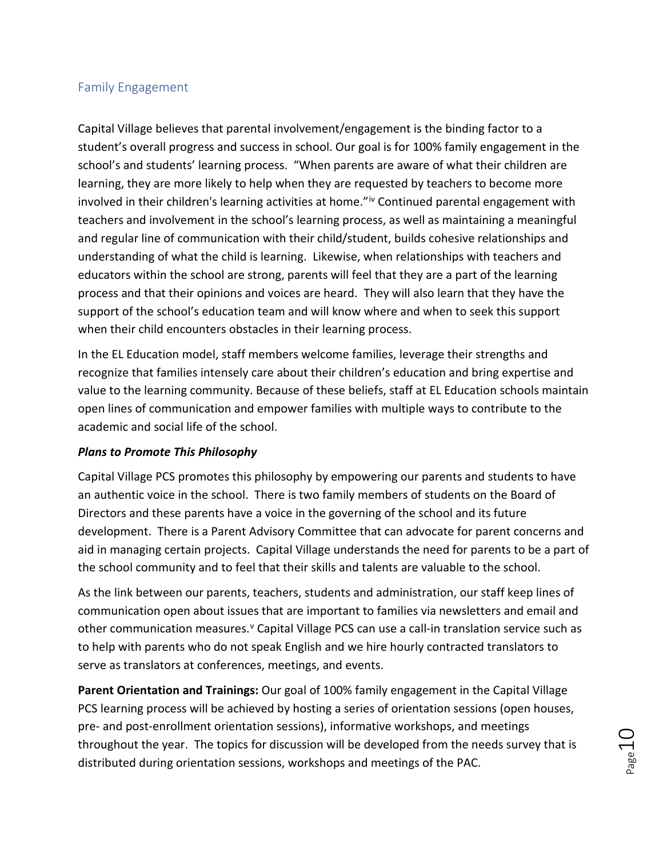#### <span id="page-9-0"></span>Family Engagement

Capital Village believes that parental involvement/engagement is the binding factor to a student's overall progress and success in school. Our goal is for 100% family engagement in the school's and students' learning process. "When parents are aware of what their children are learning, they are more likely to help when they are requested by teachers to become more involved in their children's learning act[iv](#page-21-3)ities at home."<sup>iv</sup> Continued parental engagement with teachers and involvement in the school's learning process, as well as maintaining a meaningful and regular line of communication with their child/student, builds cohesive relationships and understanding of what the child is learning. Likewise, when relationships with teachers and educators within the school are strong, parents will feel that they are a part of the learning process and that their opinions and voices are heard. They will also learn that they have the support of the school's education team and will know where and when to seek this support when their child encounters obstacles in their learning process.

In the EL Education model, staff members welcome families, leverage their strengths and recognize that families intensely care about their children's education and bring expertise and value to the learning community. Because of these beliefs, staff at EL Education schools maintain open lines of communication and empower families with multiple ways to contribute to the academic and social life of the school.

#### *Plans to Promote This Philosophy*

Capital Village PCS promotes this philosophy by empowering our parents and students to have an authentic voice in the school. There is two family members of students on the Board of Directors and these parents have a voice in the governing of the school and its future development. There is a Parent Advisory Committee that can advocate for parent concerns and aid in managing certain projects. Capital Village understands the need for parents to be a part of the school community and to feel that their skills and talents are valuable to the school.

As the link between our parents, teachers, students and administration, our staff keep lines of communication open about issues that are important to families via newsletters and email and other communication measures.<sup>[v](#page-21-4)</sup> Capital Village PCS can use a call-in translation service such as to help with parents who do not speak English and we hire hourly contracted translators to serve as translators at conferences, meetings, and events.

**Parent Orientation and Trainings:** Our goal of 100% family engagement in the Capital Village PCS learning process will be achieved by hosting a series of orientation sessions (open houses, pre- and post-enrollment orientation sessions), informative workshops, and meetings throughout the year. The topics for discussion will be developed from the needs survey that is distributed during orientation sessions, workshops and meetings of the PAC.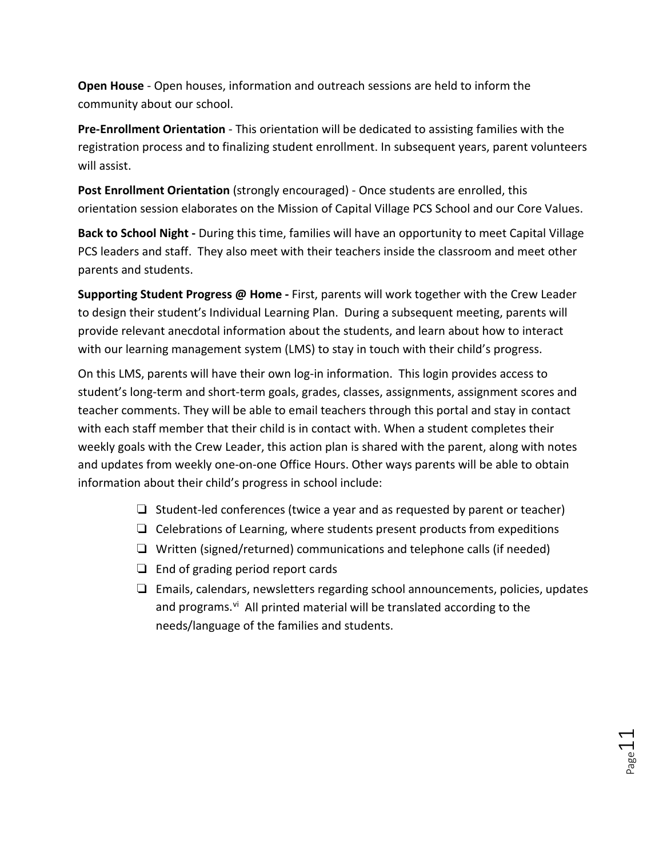**Open House** - Open houses, information and outreach sessions are held to inform the community about our school.

**Pre-Enrollment Orientation** - This orientation will be dedicated to assisting families with the registration process and to finalizing student enrollment. In subsequent years, parent volunteers will assist.

**Post Enrollment Orientation** (strongly encouraged) - Once students are enrolled, this orientation session elaborates on the Mission of Capital Village PCS School and our Core Values.

**Back to School Night -** During this time, families will have an opportunity to meet Capital Village PCS leaders and staff. They also meet with their teachers inside the classroom and meet other parents and students.

**Supporting Student Progress @ Home -** First, parents will work together with the Crew Leader to design their student's Individual Learning Plan. During a subsequent meeting, parents will provide relevant anecdotal information about the students, and learn about how to interact with our learning management system (LMS) to stay in touch with their child's progress.

On this LMS, parents will have their own log-in information. This login provides access to student's long-term and short-term goals, grades, classes, assignments, assignment scores and teacher comments. They will be able to email teachers through this portal and stay in contact with each staff member that their child is in contact with. When a student completes their weekly goals with the Crew Leader, this action plan is shared with the parent, along with notes and updates from weekly one-on-one Office Hours. Other ways parents will be able to obtain information about their child's progress in school include:

- ❏ Student-led conferences (twice a year and as requested by parent or teacher)
- ❏ Celebrations of Learning, where students present products from expeditions
- ❏ Written (signed/returned) communications and telephone calls (if needed)
- ❏ End of grading period report cards
- ❏ Emails, calendars, newsletters regarding school announcements, policies, updates and programs.<sup>vi</sup> All printed material will be translated according to the needs/language of the families and students.

Page11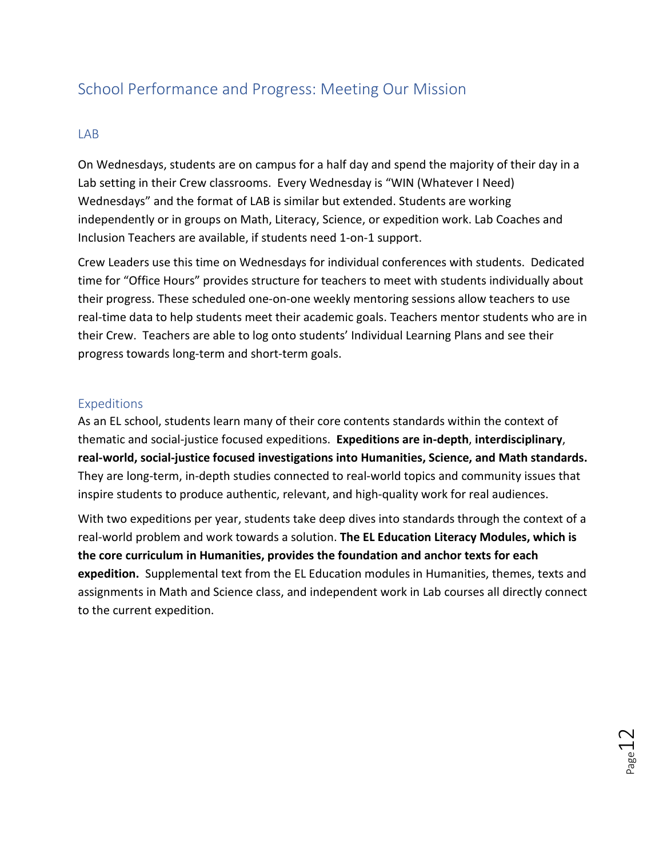## <span id="page-11-0"></span>School Performance and Progress: Meeting Our Mission

#### <span id="page-11-1"></span>LAB

On Wednesdays, students are on campus for a half day and spend the majority of their day in a Lab setting in their Crew classrooms. Every Wednesday is "WIN (Whatever I Need) Wednesdays" and the format of LAB is similar but extended. Students are working independently or in groups on Math, Literacy, Science, or expedition work. Lab Coaches and Inclusion Teachers are available, if students need 1-on-1 support.

Crew Leaders use this time on Wednesdays for individual conferences with students. Dedicated time for "Office Hours" provides structure for teachers to meet with students individually about their progress. These scheduled one-on-one weekly mentoring sessions allow teachers to use real-time data to help students meet their academic goals. Teachers mentor students who are in their Crew. Teachers are able to log onto students' Individual Learning Plans and see their progress towards long-term and short-term goals.

#### <span id="page-11-2"></span>Expeditions

As an EL school, students learn many of their core contents standards within the context of thematic and social-justice focused expeditions. **Expeditions are in-depth**, **interdisciplinary**, **real-world, social-justice focused investigations into Humanities, Science, and Math standards.** They are long-term, in-depth studies connected to real-world topics and community issues that inspire students to produce authentic, relevant, and high-quality work for real audiences.

With two expeditions per year, students take deep dives into standards through the context of a real-world problem and work towards a solution. **The EL Education Literacy Modules, which is the core curriculum in Humanities, provides the foundation and anchor texts for each expedition.** Supplemental text from the EL Education modules in Humanities, themes, texts and assignments in Math and Science class, and independent work in Lab courses all directly connect to the current expedition.

 $_{\rm Page}12$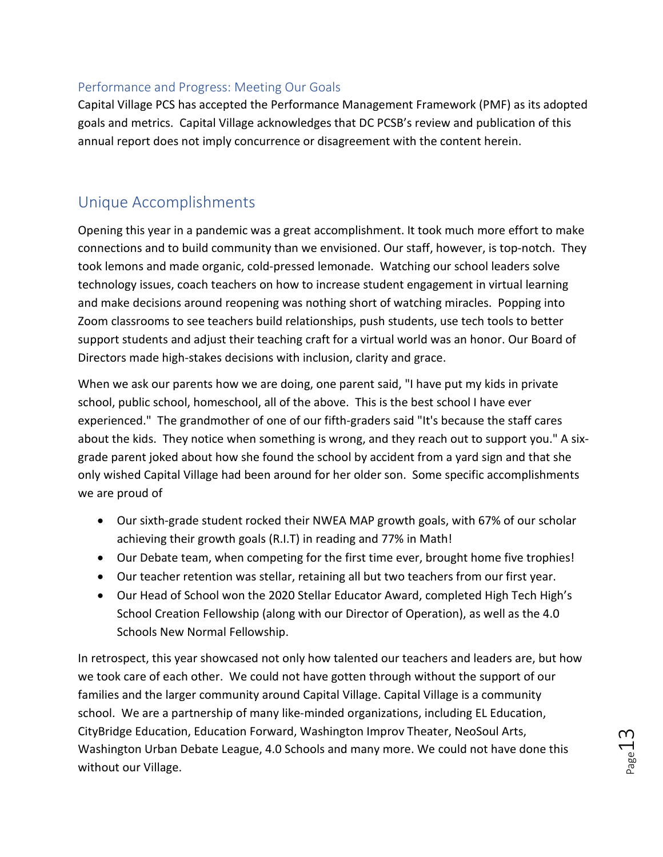#### <span id="page-12-0"></span>Performance and Progress: Meeting Our Goals

Capital Village PCS has accepted the Performance Management Framework (PMF) as its adopted goals and metrics. Capital Village acknowledges that DC PCSB's review and publication of this annual report does not imply concurrence or disagreement with the content herein.

### <span id="page-12-1"></span>Unique Accomplishments

Opening this year in a pandemic was a great accomplishment. It took much more effort to make connections and to build community than we envisioned. Our staff, however, is top-notch. They took lemons and made organic, cold-pressed lemonade. Watching our school leaders solve technology issues, coach teachers on how to increase student engagement in virtual learning and make decisions around reopening was nothing short of watching miracles. Popping into Zoom classrooms to see teachers build relationships, push students, use tech tools to better support students and adjust their teaching craft for a virtual world was an honor. Our Board of Directors made high-stakes decisions with inclusion, clarity and grace.

When we ask our parents how we are doing, one parent said, "I have put my kids in private school, public school, homeschool, all of the above. This is the best school I have ever experienced." The grandmother of one of our fifth-graders said "It's because the staff cares about the kids. They notice when something is wrong, and they reach out to support you." A sixgrade parent joked about how she found the school by accident from a yard sign and that she only wished Capital Village had been around for her older son. Some specific accomplishments we are proud of

- Our sixth-grade student rocked their NWEA MAP growth goals, with 67% of our scholar achieving their growth goals (R.I.T) in reading and 77% in Math!
- Our Debate team, when competing for the first time ever, brought home five trophies!
- Our teacher retention was stellar, retaining all but two teachers from our first year.
- Our Head of School won the 2020 Stellar Educator Award, completed High Tech High's School Creation Fellowship (along with our Director of Operation), as well as the 4.0 Schools New Normal Fellowship.

In retrospect, this year showcased not only how talented our teachers and leaders are, but how we took care of each other. We could not have gotten through without the support of our families and the larger community around Capital Village. Capital Village is a community school. We are a partnership of many like-minded organizations, including EL Education, CityBridge Education, Education Forward, Washington Improv Theater, NeoSoul Arts, Washington Urban Debate League, 4.0 Schools and many more. We could not have done this without our Village.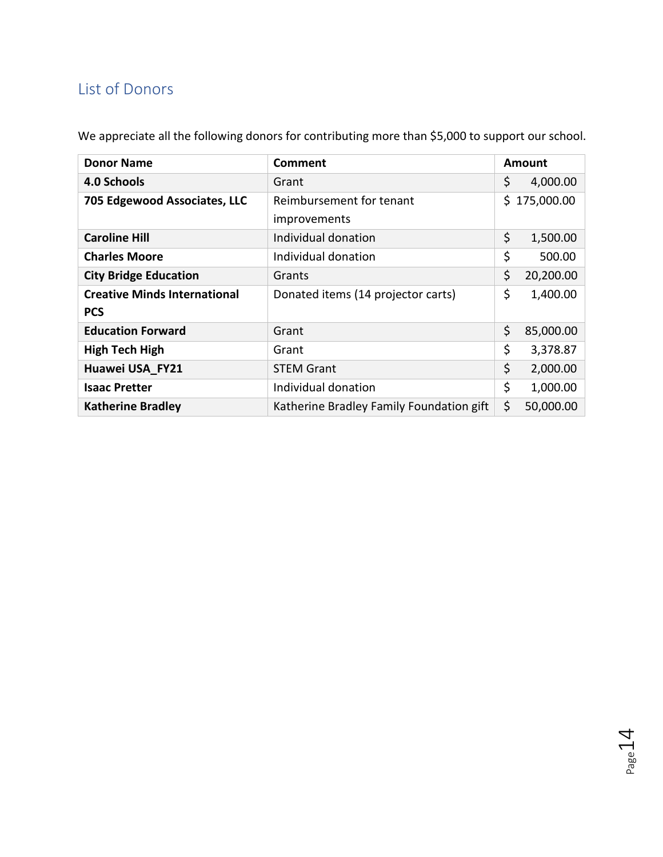# <span id="page-13-0"></span>List of Donors

We appreciate all the following donors for contributing more than \$5,000 to support our school.

| <b>Donor Name</b>                   | <b>Comment</b>                           | <b>Amount</b> |            |
|-------------------------------------|------------------------------------------|---------------|------------|
| 4.0 Schools                         | Grant                                    | \$            | 4,000.00   |
| 705 Edgewood Associates, LLC        | Reimbursement for tenant                 | S.            | 175,000.00 |
|                                     | improvements                             |               |            |
| <b>Caroline Hill</b>                | Individual donation                      | \$            | 1,500.00   |
| <b>Charles Moore</b>                | Individual donation                      | \$            | 500.00     |
| <b>City Bridge Education</b>        | Grants                                   | \$            | 20,200.00  |
| <b>Creative Minds International</b> | Donated items (14 projector carts)       | \$            | 1,400.00   |
| <b>PCS</b>                          |                                          |               |            |
| <b>Education Forward</b>            | Grant                                    | \$            | 85,000.00  |
| <b>High Tech High</b>               | Grant                                    | \$            | 3,378.87   |
| Huawei USA FY21                     | <b>STEM Grant</b>                        | \$            | 2,000.00   |
| <b>Isaac Pretter</b>                | Individual donation                      | \$            | 1,000.00   |
| <b>Katherine Bradley</b>            | Katherine Bradley Family Foundation gift | \$            | 50,000.00  |

Page 14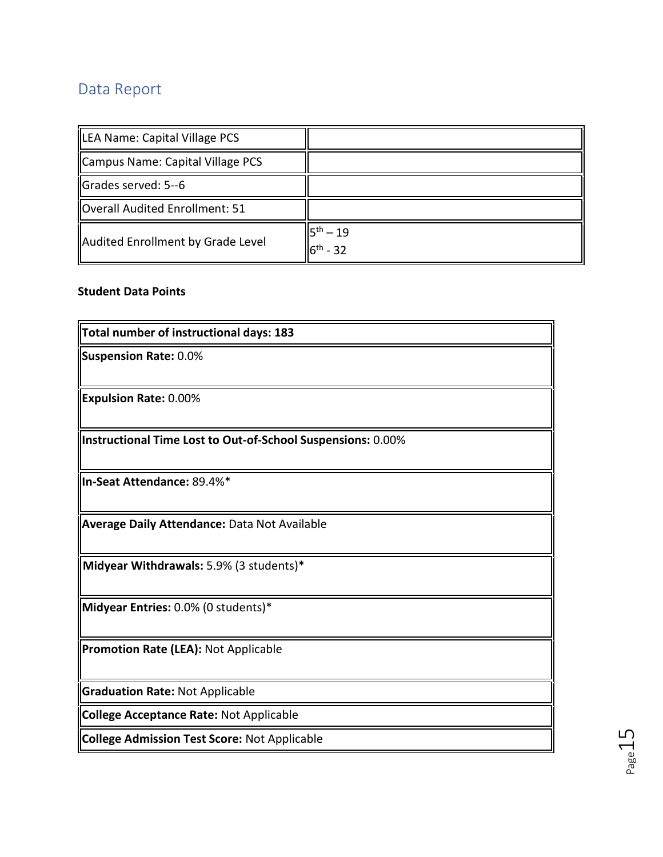# <span id="page-14-0"></span>Data Report

| <b>ILEA Name: Capital Village PCS</b> |                                 |
|---------------------------------------|---------------------------------|
| Campus Name: Capital Village PCS      |                                 |
| $\blacksquare$ Grades served: 5--6    |                                 |
| Overall Audited Enrollment: 51        |                                 |
| Audited Enrollment by Grade Level     | $15^{th} - 19$<br>$6^{th} - 32$ |

#### **Student Data Points**

| Total number of instructional days: 183                     |
|-------------------------------------------------------------|
| <b>Suspension Rate: 0.0%</b>                                |
|                                                             |
| <b>Expulsion Rate: 0.00%</b>                                |
| Instructional Time Lost to Out-of-School Suspensions: 0.00% |
| In-Seat Attendance: 89.4%*                                  |
| <b>Average Daily Attendance: Data Not Available</b>         |
| Midyear Withdrawals: 5.9% (3 students)*                     |
| Midyear Entries: 0.0% (0 students)*                         |
| <b>Promotion Rate (LEA): Not Applicable</b>                 |
| <b>Graduation Rate: Not Applicable</b>                      |
| <b>College Acceptance Rate: Not Applicable</b>              |
| <b>College Admission Test Score: Not Applicable</b>         |

Page15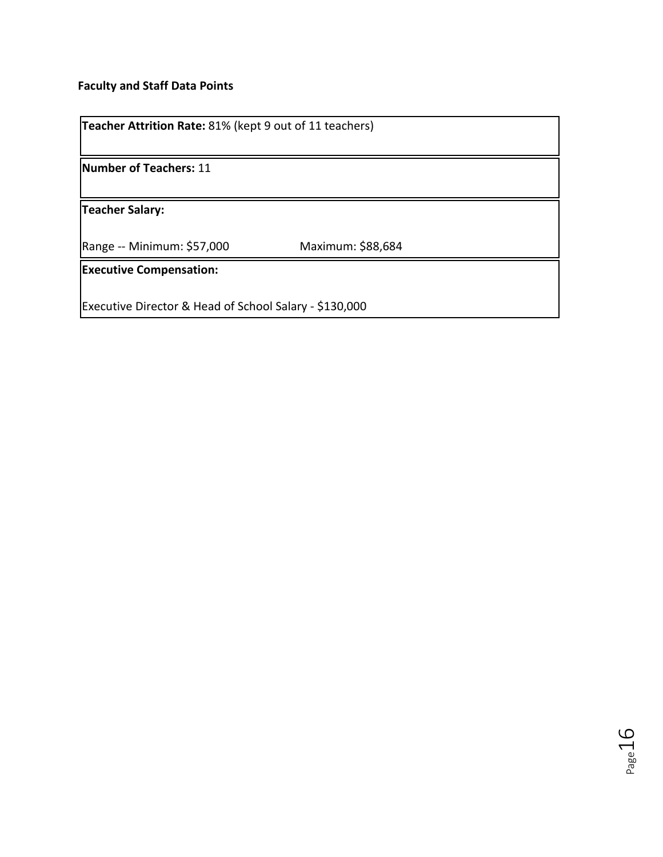#### **Faculty and Staff Data Points**

| Teacher Attrition Rate: 81% (kept 9 out of 11 teachers) |                   |  |
|---------------------------------------------------------|-------------------|--|
| Number of Teachers: 11                                  |                   |  |
| <b>Teacher Salary:</b>                                  |                   |  |
| Range -- Minimum: \$57,000                              | Maximum: \$88,684 |  |
| <b>Executive Compensation:</b>                          |                   |  |
| Executive Director & Head of School Salary - \$130,000  |                   |  |

Page 16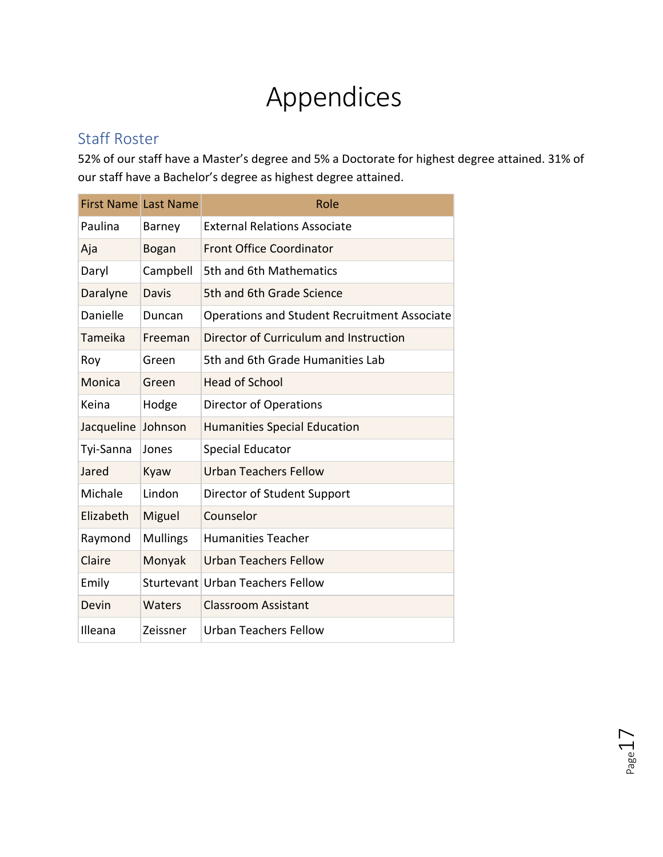# Appendices

### <span id="page-16-0"></span>Staff Roster

52% of our staff have a Master's degree and 5% a Doctorate for highest degree attained. 31% of our staff have a Bachelor's degree as highest degree attained.

|            | <b>First Name Last Name</b> | Role                                         |
|------------|-----------------------------|----------------------------------------------|
| Paulina    | Barney                      | <b>External Relations Associate</b>          |
| Aja        | Bogan                       | <b>Front Office Coordinator</b>              |
| Daryl      | Campbell                    | 5th and 6th Mathematics                      |
| Daralyne   | Davis                       | 5th and 6th Grade Science                    |
| Danielle   | Duncan                      | Operations and Student Recruitment Associate |
| Tameika    | Freeman                     | Director of Curriculum and Instruction       |
| Roy        | Green                       | 5th and 6th Grade Humanities Lab             |
| Monica     | Green                       | <b>Head of School</b>                        |
| Keina      | Hodge                       | Director of Operations                       |
| Jacqueline | Johnson                     | <b>Humanities Special Education</b>          |
| Tyi-Sanna  | Jones                       | <b>Special Educator</b>                      |
| Jared      | Kyaw                        | <b>Urban Teachers Fellow</b>                 |
| Michale    | Lindon                      | Director of Student Support                  |
| Elizabeth  | Miguel                      | Counselor                                    |
| Raymond    | <b>Mullings</b>             | <b>Humanities Teacher</b>                    |
| Claire     | Monyak                      | <b>Urban Teachers Fellow</b>                 |
| Emily      |                             | Sturtevant Urban Teachers Fellow             |
| Devin      | Waters                      | <b>Classroom Assistant</b>                   |
| Illeana    | Zeissner                    | <b>Urban Teachers Fellow</b>                 |

Page 1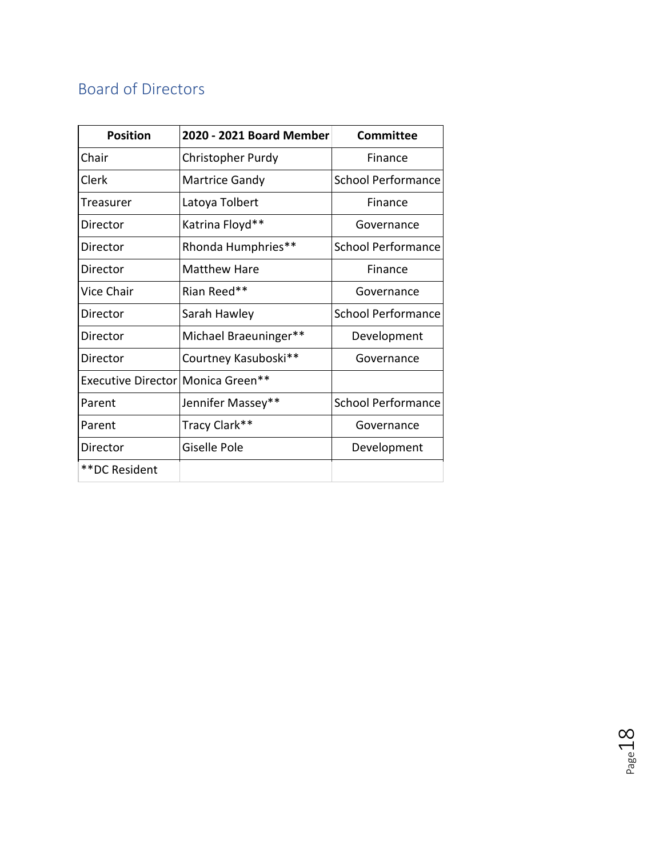# <span id="page-17-0"></span>Board of Directors

| <b>Position</b>                   | 2020 - 2021 Board Member | <b>Committee</b>          |
|-----------------------------------|--------------------------|---------------------------|
| Chair                             | Christopher Purdy        | Finance                   |
| Clerk                             | Martrice Gandy           | <b>School Performance</b> |
| Treasurer                         | Latoya Tolbert           | Finance                   |
| Director                          | Katrina Floyd**          | Governance                |
| Director                          | Rhonda Humphries**       | School Performance        |
| Director                          | Matthew Hare             | Finance                   |
| Vice Chair                        | Rian Reed**              | Governance                |
| Director                          | Sarah Hawley             | <b>School Performance</b> |
| Director                          | Michael Braeuninger**    | Development               |
| Director                          | Courtney Kasuboski**     | Governance                |
| Executive Director Monica Green** |                          |                           |
| Parent                            | Jennifer Massey**        | <b>School Performance</b> |
| Parent                            | Tracy Clark**            | Governance                |
| Director                          | Giselle Pole             | Development               |
| **DC Resident                     |                          |                           |

Page  $18$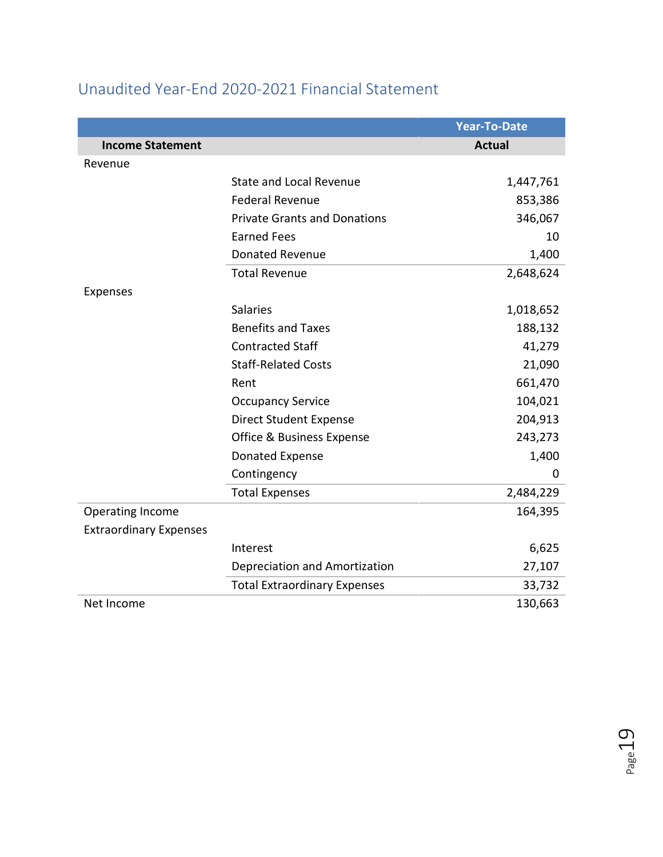|                               |                                     | <b>Year-To-Date</b> |
|-------------------------------|-------------------------------------|---------------------|
| <b>Income Statement</b>       |                                     | <b>Actual</b>       |
| Revenue                       |                                     |                     |
|                               | <b>State and Local Revenue</b>      | 1,447,761           |
|                               | <b>Federal Revenue</b>              | 853,386             |
|                               | <b>Private Grants and Donations</b> | 346,067             |
|                               | <b>Earned Fees</b>                  | 10                  |
|                               | <b>Donated Revenue</b>              | 1,400               |
|                               | <b>Total Revenue</b>                | 2,648,624           |
| <b>Expenses</b>               |                                     |                     |
|                               | <b>Salaries</b>                     | 1,018,652           |
|                               | <b>Benefits and Taxes</b>           | 188,132             |
|                               | <b>Contracted Staff</b>             | 41,279              |
|                               | <b>Staff-Related Costs</b>          | 21,090              |
|                               | Rent                                | 661,470             |
|                               | <b>Occupancy Service</b>            | 104,021             |
|                               | <b>Direct Student Expense</b>       | 204,913             |
|                               | Office & Business Expense           | 243,273             |
|                               | Donated Expense                     | 1,400               |
|                               | Contingency                         | 0                   |
|                               | <b>Total Expenses</b>               | 2,484,229           |
| Operating Income              |                                     | 164,395             |
| <b>Extraordinary Expenses</b> |                                     |                     |
|                               | Interest                            | 6,625               |
|                               | Depreciation and Amortization       | 27,107              |
|                               | <b>Total Extraordinary Expenses</b> | 33,732              |
| Net Income                    |                                     | 130,663             |

# <span id="page-18-0"></span>Unaudited Year-End 2020-2021 Financial Statement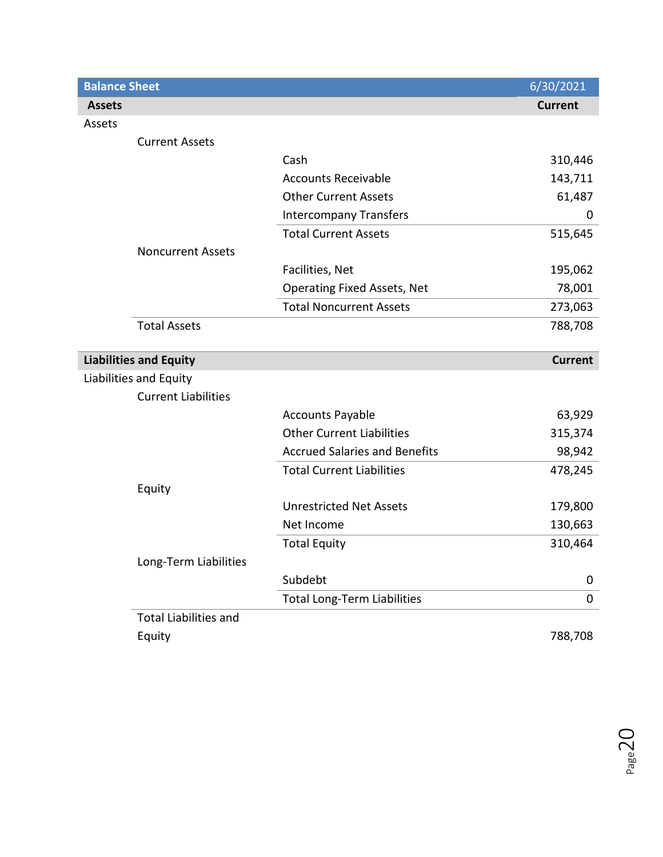| <b>Balance Sheet</b>          |                                      | 6/30/2021      |
|-------------------------------|--------------------------------------|----------------|
| <b>Assets</b>                 |                                      | <b>Current</b> |
| Assets                        |                                      |                |
| <b>Current Assets</b>         |                                      |                |
|                               | Cash                                 | 310,446        |
|                               | <b>Accounts Receivable</b>           | 143,711        |
|                               | <b>Other Current Assets</b>          | 61,487         |
|                               | <b>Intercompany Transfers</b>        | 0              |
|                               | <b>Total Current Assets</b>          | 515,645        |
| <b>Noncurrent Assets</b>      |                                      |                |
|                               | Facilities, Net                      | 195,062        |
|                               | <b>Operating Fixed Assets, Net</b>   | 78,001         |
|                               | <b>Total Noncurrent Assets</b>       | 273,063        |
| <b>Total Assets</b>           |                                      | 788,708        |
|                               |                                      |                |
| <b>Liabilities and Equity</b> |                                      | <b>Current</b> |
| Liabilities and Equity        |                                      |                |
| <b>Current Liabilities</b>    |                                      |                |
|                               | <b>Accounts Payable</b>              | 63,929         |
|                               | <b>Other Current Liabilities</b>     | 315,374        |
|                               | <b>Accrued Salaries and Benefits</b> | 98,942         |
|                               | <b>Total Current Liabilities</b>     | 478,245        |
| Equity                        |                                      |                |
|                               | <b>Unrestricted Net Assets</b>       | 179,800        |
|                               | Net Income                           | 130,663        |
|                               | <b>Total Equity</b>                  | 310,464        |
| Long-Term Liabilities         |                                      |                |
|                               | Subdebt                              | 0              |
|                               | <b>Total Long-Term Liabilities</b>   | $\pmb{0}$      |
| <b>Total Liabilities and</b>  |                                      |                |
| Equity                        |                                      | 788,708        |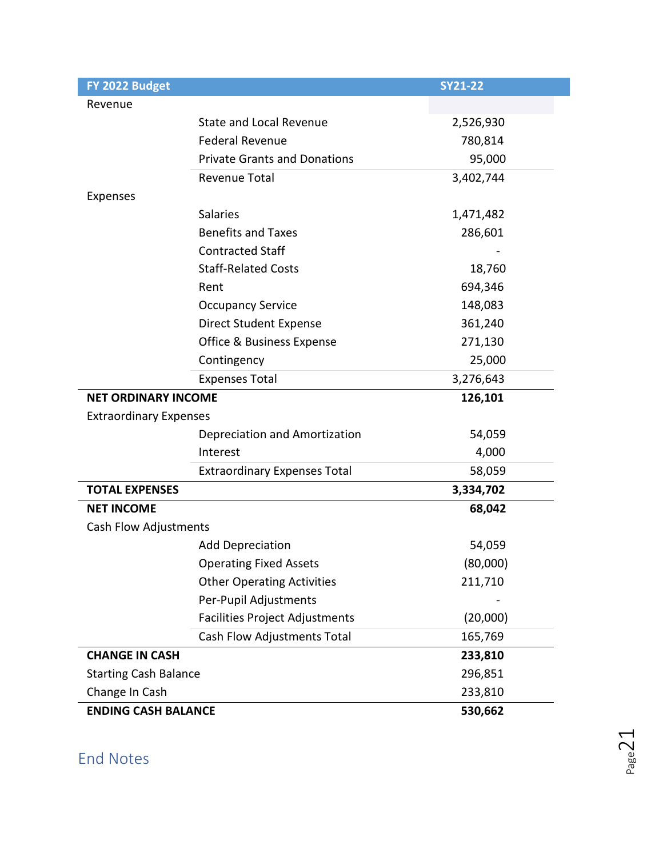<span id="page-20-0"></span>

| FY 2022 Budget                |                                       | <b>SY21-22</b> |
|-------------------------------|---------------------------------------|----------------|
| Revenue                       |                                       |                |
|                               | <b>State and Local Revenue</b>        | 2,526,930      |
|                               | <b>Federal Revenue</b>                | 780,814        |
|                               | <b>Private Grants and Donations</b>   | 95,000         |
|                               | Revenue Total                         | 3,402,744      |
| Expenses                      |                                       |                |
|                               | <b>Salaries</b>                       | 1,471,482      |
|                               | <b>Benefits and Taxes</b>             | 286,601        |
|                               | <b>Contracted Staff</b>               |                |
|                               | <b>Staff-Related Costs</b>            | 18,760         |
|                               | Rent                                  | 694,346        |
|                               | <b>Occupancy Service</b>              | 148,083        |
|                               | <b>Direct Student Expense</b>         | 361,240        |
|                               | Office & Business Expense             | 271,130        |
|                               | Contingency                           | 25,000         |
|                               | <b>Expenses Total</b>                 | 3,276,643      |
| <b>NET ORDINARY INCOME</b>    |                                       | 126,101        |
| <b>Extraordinary Expenses</b> |                                       |                |
|                               | Depreciation and Amortization         | 54,059         |
|                               | Interest                              | 4,000          |
|                               | <b>Extraordinary Expenses Total</b>   | 58,059         |
| <b>TOTAL EXPENSES</b>         |                                       | 3,334,702      |
| <b>NET INCOME</b>             |                                       | 68,042         |
| Cash Flow Adjustments         |                                       |                |
|                               | <b>Add Depreciation</b>               | 54,059         |
|                               | <b>Operating Fixed Assets</b>         | (80,000)       |
|                               | <b>Other Operating Activities</b>     | 211,710        |
|                               | Per-Pupil Adjustments                 |                |
|                               | <b>Facilities Project Adjustments</b> | (20,000)       |
|                               | Cash Flow Adjustments Total           | 165,769        |
| <b>CHANGE IN CASH</b>         |                                       | 233,810        |
| <b>Starting Cash Balance</b>  |                                       | 296,851        |
| Change In Cash                |                                       | 233,810        |
| <b>ENDING CASH BALANCE</b>    |                                       | 530,662        |